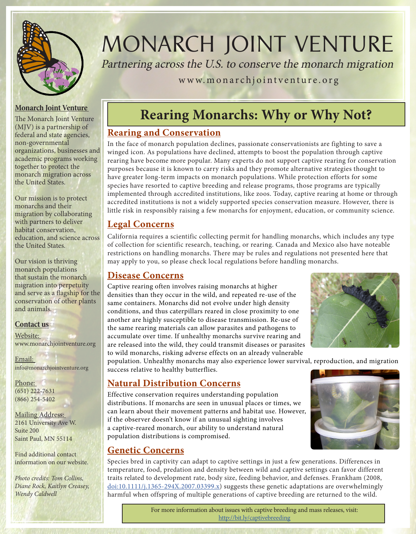

# MONARCH JOINT VENTURE

Partnering across the U.S. to conserve the monarch migration

www.monarchjointventure.org

#### **Monarch Joint Venture**

The Monarch Joint Venture (MJV) is a partnership of federal and state agencies, non-governmental organizations, businesses and academic programs working together to protect the monarch migration across the United States.

Our mission is to protect monarchs and their migration by collaborating with partners to deliver habitat conservation, education, and science across the United States.

Our vision is thriving monarch populations that sustain the monarch migration into perpetuity and serve as a flagship for the conservation of other plants and animals.

#### **Contact us**

Website: www.monarchjointventure.org

Email: info@monarchjointventure.org

Phone: (651) 222-7631 (866) 254-5402

Mailing Address: 2161 University Ave W. Suite 200 Saint Paul, MN 55114

Find additional contact information on our website.

*Photo credits: Tom Collins, Diane Rock, Kaitlyn Creasey, Wendy Caldwell* 

# **Rearing Monarchs: Why or Why Not?**

#### **Rearing and Conservation**

In the face of monarch population declines, passionate conservationists are fighting to save a winged icon. As populations have declined, attempts to boost the population through captive rearing have become more popular. Many experts do not support captive rearing for conservation purposes because it is known to carry risks and they promote alternative strategies thought to have greater long-term impacts on monarch populations. While protection efforts for some species have resorted to captive breeding and release programs, those programs are typically implemented through accredited institutions, like zoos. Today, captive rearing at home or through accredited institutions is not a widely supported species conservation measure. However, there is little risk in responsibly raising a few monarchs for enjoyment, education, or community science.

#### **Legal Concerns**

California requires a scientific collecting permit for handling monarchs, which includes any type of collection for scientific research, teaching, or rearing. Canada and Mexico also have noteable restrictions on handling monarchs. There may be rules and regulations not presented here that may apply to you, so please check local regulations before handling monarchs.

#### **Disease Concerns**

Captive rearing often involves raising monarchs at higher densities than they occur in the wild, and repeated re-use of the same containers. Monarchs did not evolve under high density conditions, and thus caterpillars reared in close proximity to one another are highly susceptible to disease transmission. Re-use of the same rearing materials can allow parasites and pathogens to accumulate over time. If unhealthy monarchs survive rearing and are released into the wild, they could transmit diseases or parasites to wild monarchs, risking adverse effects on an already vulnerable



population. Unhealthy monarchs may also experience lower survival, reproduction, and migration success relative to healthy butterflies.

#### **Natural Distribution Concerns**

Effective conservation requires understanding population distributions. If monarchs are seen in unusual places or times, we can learn about their movement patterns and habitat use. However, if the observer doesn't know if an unusual sighting involves a captive-reared monarch, our ability to understand natural population distributions is compromised.



## **Genetic Concerns**

Species bred in captivity can adapt to captive settings in just a few generations. Differences in temperature, food, predation and density between wild and captive settings can favor different traits related to development rate, body size, feeding behavior, and defenses. Frankham (2008, doi:10.1111/j.1365-294X.2007.03399.x) suggests these genetic adaptations are overwhelmingly harmful when offspring of multiple generations of captive breeding are returned to the wild.